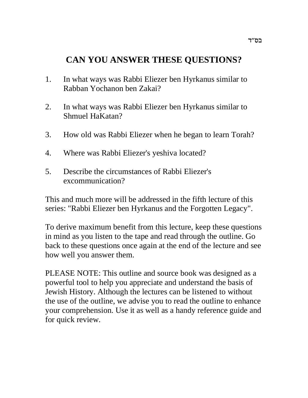# **CAN YOU ANSWER THESE QUESTIONS?**

- 1. In what ways was Rabbi Eliezer ben Hyrkanus similar to Rabban Yochanon ben Zakai?
- 2. In what ways was Rabbi Eliezer ben Hyrkanus similar to Shmuel HaKatan?
- 3. How old was Rabbi Eliezer when he began to learn Torah?
- 4. Where was Rabbi Eliezer's yeshiva located?
- 5. Describe the circumstances of Rabbi Eliezer's excommunication?

This and much more will be addressed in the fifth lecture of this series: "Rabbi Eliezer ben Hyrkanus and the Forgotten Legacy".

To derive maximum benefit from this lecture, keep these questions in mind as you listen to the tape and read through the outline. Go back to these questions once again at the end of the lecture and see how well you answer them.

PLEASE NOTE: This outline and source book was designed as a powerful tool to help you appreciate and understand the basis of Jewish History. Although the lectures can be listened to without the use of the outline, we advise you to read the outline to enhance your comprehension. Use it as well as a handy reference guide and for quick review.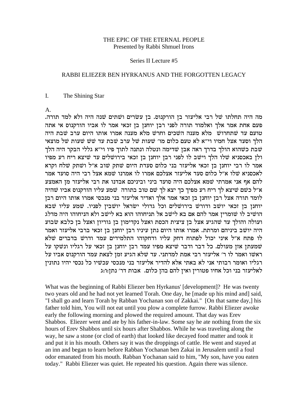#### THE EPIC OF THE ETERNAL PEOPLE Presented by Rabbi Shmuel Irons

#### Series II Lecture #5

#### RABBI ELIEZER BEN HYRKANUS AND THE FORGOTTEN LEGACY

#### $\mathbf{I}$ . The Shining Star

#### A.

מה היה תחלתו של רבי אליעזר בן הורקנוס. בן עשרים ושתים שנה היה ולא למד תורה. פעם אחת אמר אלך ואלמוד תורה לפני רבן יוחנן בן זכאי אמר לו אביו הורקנוס אי אתה טועם ער שתחרוש מלא מענה השכים וחרש מלא מענה אמרו אותו היום ערב שבת היה הלך וסעד אצל חמיו וי״א לא טעם כלום מו׳ שעות של ערב שבת עד שש שעות של מוצאי שבת כשהוא הולך בדרך ראה אבן שדימה ונטלה ונתנה לתוך פיו וי"א גללי הבקר היה הלך ולן באכסניא שלו הלך וישב לו לפני רבן יוחנן בן זכאי בירושלים עד שיצא ריח רע מפיו אמר לו רבי יוחנן בן זכאי אליעזר בני כלום סעדת היום שתק שוב א"ל ושתק שלח וקרא לאכסניא שלו א״ל כלום סעד אליעזר אצלכם אמרו לו אמרנו שמא אצל רבי היה סועד אמר להם אף אני אמרתי שמא אצלכם היה סועד ביני וביניכם אבדנו את רבי אליעזר מן האמצע א״ל כשם שיצא לך ריח רע מפיך כך יצא לך שם טוב בתורה שמע עליו הורקנוס אביו שהיה לומד תורה אצל רבן יוחנן בן זכאי אמר אלך ואדיר אליעזר בני מנכסי אמרו אותו היום רבן יוחנן בן זכאי יושב ודורש בירושלים וכל גדולי ישראל יושבין לפניו. שמע עליו שבא הושיב לו שומרין אמר להם אם בא לישב אל תניחוהו הוא בא לישב ולא הניחוהו היה מדלג ועולה והולך עד שהגיע אצל בן ציצית הכסת ואצל נקדימון בן גוריון ואצל בן כלבא שבוע היה יושב ביניהם ומרתת. אמרו אותו היום נתן עיניו רבן יוחנן בן זכאי ברבי אליעזר ואמר לו פתח א״ל איני יכול לפתוח דחק עליו ודחקוהו התלמידים עמד ודרש בדברים שלא שמעתן אזן מעולם. כל דבר ודבר שיצא מפיו עמד רבן יוחנן בן זכאי על רגליו ונשקו על ראשו ואמר לו ר' אליעזר רבי אמת למדתני. עד שלא הגיע זמן לצאת עמד הורקנוס אביו על רגליו ואומר רבותי אני לא באתי אלא להדיר אליעזר בני מנכסי עכשיו כל נכסי יהיו נתונין לאליעזר בני וכל אחיו פטורין ואין להם בהן כלום. אבות דר׳ נתן:ו:ג

What was the beginning of Rabbi Eliezer ben Hyrkanus' [development]? He was twenty two years old and he had not yet learned Torah. One day, he [made up his mind and] said, "I shall go and learn Torah by Rabban Yochanan son of Zakkai." [On that same day,] his father told him, You will not eat until you plow a complete furrow. Rabbi Eliezer awoke early the following morning and plowed the required amount. That day was Erev Shabbos. Eliezer went and ate by his father-in-law. Some say he ate nothing from the six hours of Erev Shabbos until six hours after Shabbos. While he was traveling along the way, he saw a stone (or clod of earth) that looked like decayed food matter and took it and put it in his mouth. Others say it was the droppings of cattle. He went and stayed at an inn and began to learn before Rabban Yochanan ben Zakai in Jerusalem until a foul odor emanated from his mouth. Rabban Yochanan said to him, "My son, have you eaten today." Rabbi Eliezer was quiet. He repeated his question. Again there was silence.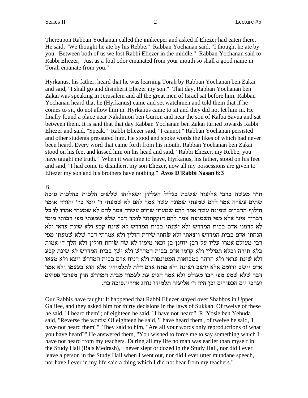Thereupon Rabban Yochanan called the innkeeper and asked if Eliezer had eaten there. He said, "We thought he ate by his Rebbe." Rabban Yochanan said, "I thought he ate by you. Between both of us we lost Rabbi Eliezer in the middle." Rabban Yochanan said to Rabbi Eliezer, "Just as a foul odor emanated from your mouth so shall a good name in Torah emanate from you."

Hyrkanus, his father, heard that he was learning Torah by Rabban Yochanan ben Zakai and said, "I shall go and disinherit Eliezer my son." That day, Rabban Yochanan ben Zakai was speaking in Jerusalem and all the great men of Israel sat before him. Rabban Yochanan heard that he (Hyrkanus) came and set watchmen and told them that if he comes to sit, do not allow him in. Hyrkanus came to sit and they did not let him in. He finally found a place near Nakdimon ben Gurion and near the son of Kalba Savua and sat between them. It is said that that day Rabban Yochanan ben Zakai turned towards Rabbi Eliezer and said, "Speak." Rabbi Eliezer said, "I cannot." Rabban Yochanan persisted and other students pressured him. He stood and spoke words the likes of which had never been heard. Every word that came forth from his mouth, Rabban Yochanan ben Zakai stood on his feet and kissed him on his head and said, "Rabbi Eliezer, my Rebbe, you have taught me truth." When it was time to leave, Hyrkanus, his father, stood on his feet and said, "I had come to disinherit my son Eliezer, now all my possessions are given to Eliezer my son and his brothers have nothing." **Avos D'Rabbi Nasan 6:3**

#### B.

ת״ר מעשׂה ברבי אליעזר שׁשׂבת בגליל העליון ושאלוהו שלשים הלכות בהלכות סוכה שתים עשרה אמר להם שמעתי שמונה עשר אמר להם לא שמעתי ר׳ יוסי בר׳ יהודה אומר h הילוף הדברים שמונה עשר אמר להם שמעתי שתים עשרה אמר להם לא שמעתי אמרו לו דבריך אינן אלא מפי השמועה אמר להם הזקקתוני לומר דבר שלא שמעתי מפי רבותי מימי לא קדמני אדם בבית המדרש ולא ישנתי בבית המדרש לא שינת קבע ולא שינת עראי ולא הנחתי אדם בבית המדרש ויצאתי ולא שחתי שיחת חולין ולא אמרתי דבר שלא שמעתי מפי רבי מעולם אמרו עליו על רבן יוחנן בן זכאי מימיו לא שח שיחת חולין ולא הלך ד׳ אמות בלא תורה ובלא תפילין ולא קדמו אדם בבית המדרש ולא ישן בבית המדרש לא שינת קבע ולא שינת עראי ולא הרהר במבואות המטונפות ולא הניח אדם בבית המדרש ויצא ולא מצאו אדם יושב ודומם אלא יושב ושונה ולא פתח אדם דלת לתלמידיו אלא הוא בעצמו ולא אמר דבר שלא שמע מפי רבו מעולם ולא אמר הגיע עת לעמוד מבית המדרש חוץ מערבי פסחים .<br>וערבי יום הכפורים וכן היה ר׳ אליעזר תלמידו נוהג אחריו.סוכה כח

Our Rabbis have taught: It happened that Rabbi Eliezer stayed over Shabbos in Upper Galilee, and they asked him for thirty decisions in the laws of Sukkah. Of twelve of these he said, "I heard them"; of eighteen he said, "I have not heard". R. Yosie ben Yehuda said, "Reverse the words: Of eighteen he said, 'I have heard them', of twelve he said, 'I have not heard them'." They said to him, "Are all your words only reproductions of what you have heard?" He answered them, "You wished to force me to say something which I have not heard from my teachers. During all my life no man was earlier than myself in the Study Hall (Bais Medrash), I never slept or dozed in the Study Hall, nor did I ever leave a person in the Study Hall when I went out, nor did I ever utter mundane speech, nor have I ever in my life said a thing which I did not hear from my teachers."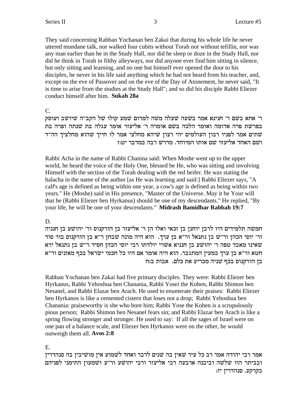They said concerning Rabban Yochanan ben Zakai that during his whole life he never uttered mundane talk, nor walked four cubits without Torah nor without tefillin, nor was any man earlier than he in the Study Hall, nor did he sleep or doze in the Study Hall, nor did he think in Torah in filthy alleyways, nor did anyone ever find him sitting in silence, but only sitting and learning, and no one but himself ever opened the door to his disciples, he never in his life said anything which he had not heard from his teacher, and, except on the eve of Passover and on the eve of the Day of Atonement, he never said, "It is time to arise from the studies at the Study Hall"; and so did his disciple Rabbi Eliezer conduct himself after him. Sukah 28a

 $C_{\cdot}$ 

ר׳ אחא בשם ר׳ חנינא אמר בשׁעה שׁעלה משה למרום שמע קולו של הקב״ה שיושב ועוסק בפרשת פרה אדומה ואומר הלכה בשם אומרה ר׳ אליעזר אומר עגלה בת שנתה ופרה בת שתים אמר לפניו רבון העולמים יהי רצון שיהא מחלצי אמר לו חייך שהוא מחלציך הה"ד ושם האחד אליעזר שם אותו המיוחד. מדרש רבה במדבר יט:ז

Rabbi Acha in the name of Rabbi Chanina said: When Moshe went up to the upper world, he heard the voice of the Holy One, blessed be He, who was sitting and involving Himself with the section of the Torah dealing with the red heifer. He was stating the halacha in the name of the author [as He was learning and said:] Rabbi Eliezer says, "A calf's age is defined as being within one year, a cow's age is defined as being within two years." He (Moshe) said in His presence, "Master of the Universe. May it be Your will that he (Rabbi Eliezer ben Hyrkanus) should be one of my descendants." He replied, "By your life, he will be one of your descendants." Midrash Bamidbar Rabbah 19:7

### D.

חמשה תלמידים היו לרבן יוחנן בן זכאי ואלו הן ר׳ אליעזר בן הורקנוס ור׳ יהושע בן חנניה ור׳ יוסי הכהן ור״שׁ בן נתנאל ור״א בן ערך. הוא היה מונה שבחן ר״א בן הורקנוס בור סוד שאינו מאבד טפה ר' יהושע בן חנניא אשרי יולדתו רבי יוסי הכהן חסיד ר"ש בן נתנאל ירא חטא ור״א בן ערך כמעין המתגבר. הוא היה אומר אם היו כל חכמי ישראל בכף מאזנים ור״א בן הורקנוס בכף שניה מכריע את כלם. אבות ב:ח

Rabban Yochanan ben Zakai had five primary disciples. They were: Rabbi Eliezer ben Hyrkanus, Rabbi Yehoshua ben Chanania, Rabbi Yosei the Kohen, Rabbi Shimon ben Nesanel, and Rabbi Elazar ben Arach. He used to enumerate their praises: Rabbi Eliezer ben Hyrkanos is like a cemented cistern that loses not a drop; Rabbi Yehoshua ben Chanania: praiseworthy is she who bore him; Rabbi Yose the Kohen is a scrupulously pious person; Rabbi Shimon ben Nesanel fears sin; and Rabbi Elazar ben Arach is like a spring flowing stronger and stronger. He used to say: If all the sages of Israel were on one pan of a balance scale, and Eliezer ben Hyrkanos were on the other, he would outweigh them all. Avos 2:8

### $E_{\rm{L}}$

אמר רבי יהודה אמר רב כל עיר שאין בה שנים לדבר ואחד לשמוע אין מושיבין בה סנהדרין ובביתר הוו שלשה וביבנה ארבעה רבי אליעזר ורבי יהושע ור"ע ושמעון התימני לפניהם בקרקע. סנהדרין יז: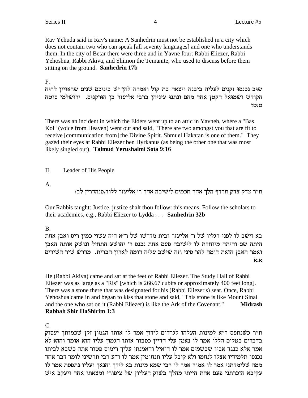Rav Yehuda said in Rav's name: A Sanhedrin must not be established in a city which does not contain two who can speak [all seventy languages] and one who understands them. In the city of Betar there were three and in Yavne four: Rabbi Eliezer, Rabbi Yehoshua, Rabbi Akiva, and Shimon the Temanite, who used to discuss before them sitting on the ground. **Sanhedrin 17b**

### F.

שוב נכנסו זקנים לעליה ביבנה ויצאה בת קול ואמרה להן יש ביניכם שנים שראויין לרוח הקודש ושמואל הקטן אחד מהם ונתנו עיניהן ברבי אליעזר בן הורקנוס. ירושלמי סוטה  $r$ 

There was an incident in which the Elders went up to an attic in Yavneh, where a "Bas Kol" (voice from Heaven) went out and said, "There are two amongst you that are fit to receive [communication from] the Divine Spirit. Shmuel Hakatan is one of them." They gazed their eyes at Rabbi Eliezer ben Hyrkanus (as being the other one that was most likely singled out). **Talmud Yerushalmi Sota 9:16**

II. Leader of His People

A.

:a. ת״ר צדק צדק תרדף הלך אחר חכמים לישיבה אחר ר׳ אליעזר ללוד.סנהדרין לב

Our Rabbis taught: Justice, justice shalt thou follow: this means, Follow the scholars to their academies, e.g., Rabbi Eliezer to Lydda . . . **Sanhedrin 32b**

B.

בא וישב לו לפני רגליו של ר׳ אליעזר ובית מדרשו של ר״א היה עשוי כמין ריס ואבן אחת היתה שם והיתה מיוחדת לו לישיבה פעם אחת נכנס ר׳ יהושע התחיל ונושק אותה האבן ואמר האבן הזאת דומה להר סיני וזה שישב עליה דומה לארון הברית. מדרש שיר השירים  $x: x$ 

He (Rabbi Akiva) came and sat at the feet of Rabbi Eliezer. The Study Hall of Rabbi Eliezer was as large as a "Ris" [which is 266.67 cubits or approximately 400 feet long]. There was a stone there that was designated for his (Rabbi Eliezer's) seat. Once, Rabbi Yehoshua came in and began to kiss that stone and said, "This stone is like Mount Sinai and the one who sat on it (Rabbi Eliezer) is like the Ark of the Covenant." **Midrash Rabbah Shir HaShirim 1:3**

 $C_{\cdot}$ 

ת״ר כשנתפס ר״א למינות העלהו לגרדום לידון אמר לו אותו הגמון זקן שכמותך יעסוק בדברים בטלים הללו אמר לו נאמן עלי הדיין כסבור אותו הגמון עליו הוא אומר והוא לא אמר אלא כנגד אביו שבשמים אמר לו הואיל והאמנתי עליך רימוס פטור אתה כשבא לביתו נכנסו תלמידיו אצלו לנחמו ולא קיבל עליו תנחומין אמר לו ר״ע רבי תרשיני לומר דבר אחד ממה שלימדתני אמר לו אמור אמר לו רבי שמא מינות בא לידך והנאך ועליו נתפסת אמר לו עקיבא הזכרתני פעם אחת הייתי מהלך בשוק העליון של ציפורי ומצאתי אחד ויעקב איש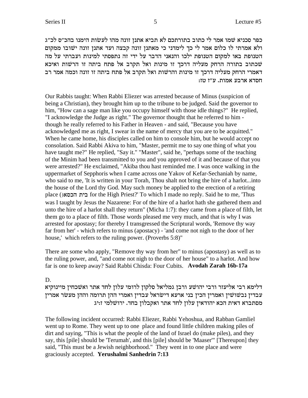כפר סכניא שמו אמר לי כתוב בתורתכם לא תביא אתנז זונה מהו לעשות הימנו בהכ״ס לכ״ג ולא אמרתי לו כלום אמר לי כך לימדני כי מאתנן זונה קבצה ועד אתנן זונה ישובו ממקום הטנופת באו למקום הטנופת ילכו והנאני הדבר על ידי זה נתפסתי למינות ועברתי על מה שכתוב בתורה הרחק מעליה דרכך זו מינות ואל תקרב אל פתח ביתה זו הרשות ואיכא דאמרי הרחק מעליה דרכך זו מינות והרשות ואל תקרב אל פתח ביתה זו זונה וכמה אמר רב :<br/> הסדא ארבע המות. השדא

Our Rabbis taught: When Rabbi Eliezer was arrested because of Minus (suspicion of being a Christian), they brought him up to the tribune to be judged. Said the governor to him, "How can a sage man like you occupy himself with those idle things?" He replied, "I acknowledge the Judge as right." The governor thought that he referred to him though he really referred to his Father in Heaven - and said, "Because you have acknowledged me as right, I swear in the name of mercy that you are to be acquitted." When he came home, his disciples called on him to console him, but he would accept no consolation. Said Rabbi Akiva to him, "Master, permit me to say one thing of what you have taught me?" He replied, "Say it." "Master", said he, "perhaps some of the teaching of the Minim had been transmitted to you and you approved of it and because of that you were arrested?" He exclaimed, "Akiba thou hast reminded me. I was once walking in the uppermarket of Sepphoris when I came across one Yakov of Kefar-Sechaniah by name, who said to me, 'It is written in your Torah, Thou shalt not bring the hire of a harlot...into the house of the Lord thy God. May such money be applied to the erection of a retiring place ()`qkd zia for the High Priest?' To which I made no reply. Said he to me, 'Thus was I taught by Jesus the Nazarene: For of the hire of a harlot hath she gathered them and unto the hire of a harlot shall they return" (Micha 1:7): they came from a place of filth, let them go to a place of filth. Those words pleased me very much, and that is why I was arrested for apostasy; for thereby I transgressed the Scriptural words, 'Remove thy way far from her' - which refers to minus (apostacy) - 'and come not nigh to the door of her house,' which refers to the ruling power. (Proverbs 5:8)"

There are some who apply, "Remove thy way from her" to minus (apostasy) as well as to the ruling power, and, "and come not nigh to the door of her house" to a harlot. And how far is one to keep away? Said Rabbi Chisda: Four Cubits. **Avodah Zarah 16b-17a**

#### D.

דלימא רבי אליעזר ורבי יהושע ורבן גמליאל סלקון לרומי עלון לחד אתר ואשכחין מיינוקיא עבדין נבשושין ואמרין הכין בני ארעא דישראל עבדין ואמרי ההן תרומה וההן מעשר אמרין מסתברא דאית הכא יהודאין עלון לחד אתר ואקבלון בחד. ירושלמי ז:יג

The following incident occurred: Rabbi Eliezer, Rabbi Yehoshua, and Rabban Gamliel went up to Rome. They went up to one place and found little children making piles of dirt and saying, "This is what the people of the land of Israel do (make piles), and they say, this [pile] should be 'Terumah', and this [pile] should be 'Maaser'" [Thereupon] they said, "This must be a Jewish neighborhood." They went in to one place and were graciously accepted. **Yerushalmi Sanhedrin 7:13**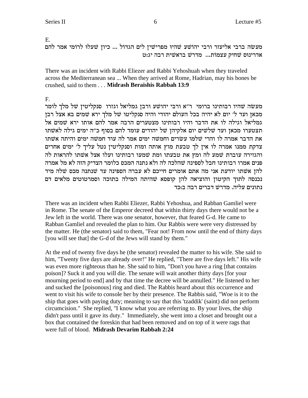#### Ε.

מעשה ברבי אליעזר ורבי יהוֹשׁע שהיוּ מפרישׁין לים הגדוֹל ... כיון שעלוּ לרוֹמי אמר להם אדרינוּס שׁחיק עצמות... מדרשׁ בראשית רבה יג:ט

There was an incident with Rabbi Eliezer and Rabbi Yehoshuah when they traveled across the Mediterranean sea ... When they arrived at Rome, Hadrian, may his bones be crushed, said to them . . . Midrash Beraishis Rabbah 13:9

 $F_{\cdot}$ 

מעשה שהיו רבותינו ברומי ר"א ורבי יהושע ורבן גמליאל וגזרו סנקליטין של מלך לומר מכאן ועד ל׳ יום לא יהיה בכל העולם יהודי והיה סנקליטו של מלך ירא שמים בא אצל רבן גמליאל וגילה לו את הדבר והיו רבותינו מצטערים הרבה אמר להם אותו ירא שמים אל תצטערו מכאן ועד שלשים יום אלקיהן של יהודים עומד להם בסוף כ"ה ימים גילה לאשתו את הדבר אמרה לו והרי שלמו עשרים וחמשה ימים אמר לה עוד חמשה ימים והיתה אשתו צדקת ממנו אמרה לו אין לך טבעת מוץ אותה ומות וסנקליטין נטל עליך ל׳ ימים אחרים והגזירה עוברת שמע לה ומץ את טבעתו ומת שמעו רבותינו ועלו אצל אשתו להראות לה פנים אמרו רבותינו חבל לספינה שהלכה לה ולא נתנה המכס כלומר הצדיק הזה לא מל אמרה להן אשתו יודעת אני מה אתם אומרים חייכם לא עברה הספינה עד שנתנה מכס שלה מיד נכנסה לתוך הקיטון והוציאה להן קופסא שהיתה המילה בתוכה וסמרטוטים מלאים דם נתונים עליה. מדרש דברים רבה בזכד

There was an incident when Rabbi Eliezer, Rabbi Yehoshua, and Rabban Gamliel were in Rome. The senate of the Emperor decreed that within thirty days there would not be a Jew left in the world. There was one senator, however, that feared G-d. He came to Rabban Gamliel and revealed the plan to him. Our Rabbis were were very distressed by the matter. He (the senator) said to them, "Fear not! From now until the end of thirty days [you will see that] the G-d of the Jews will stand by them."

At the end of twenty five days he (the senator) revealed the matter to his wife. She said to him, "Twenty five days are already over!" He replied, "There are five days left." His wife was even more righteous than he. She said to him, "Don't you have a ring [that contains] poison]? Suck it and you will die. The senate will wait another thirty days [for your mourning period to end] and by that time the decree will be annulled." He listened to her and sucked the [poisonous] ring and died. The Rabbis heard about this occurrence and went to visit his wife to console her by their presence. The Rabbis said, "Woe is it to the ship that goes with paying duty; meaning to say that this 'tzaddik' (saint) did not perform circumcision." She replied, "I know what you are referring to. By your lives, the ship didn't pass until it gave its duty." Immediately, she went into a closet and brought out a box that contained the foreskin that had been removed and on top of it were rags that were full of blood. Midrash Devarim Rabbah 2:24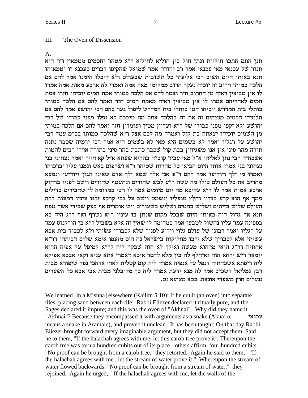#### III. The Oven of Dissension

 $\mathbf{A}$ .

תנן התם חתכו חוליות ונתן חול בין חוליא לחוליא ר"א מטהר וחכמים מטמאין וזה הוא תנור של עכנאי מאי עכנאי אמר רב יהודה אמר שמואל שהקיפו דברים כעכנא זו וטמאוהו תנא באותו היום השיב רבי אליעזר כל תשובות שבעולם ולא קיבלו הימנו אמר להם אם הלכה כמותי חרוב זה יוכיח נעקר חרוב ממקומו מאה אמה ואמרי לה ארבע מאות אמה אמרו לו אין מביאין ראיה מן החרוב חזר ואמר להם אם הלכה כמותי אמת המים יוכיחו חזרו אמת המים לאחריהם אמרו לו אין מביאין ראיה מאמת המים חזר ואמר להם אם הלכה כמותי כותלי בית המדרש יוכיחו הטו כותלי בית המדרש ליפול גער בהם רבי יהושע אמר להם אם תלמידי חכמים מנצחים זה את זה בהלכה אתם מה טיבכם לא נפלו מפני כבודו של רבי יהושע ולא זקפו מפני כבודו של ר"א ועדיין מטין ועומדין חזר ואמר להם אם הלכה כמותי מז השמים יוכיחו יצאתה בת קול ואמרה מה לכם אצל ר״א שהלכה כמותו בכ״מ עמד רבי יהושע על רגליו ואמר לא בשמים היא מאי לא בשמים היא אמר רבי ירמיה שכבר נתנה תורה מהר סיני אין אנו משגיחין בבת קול שכבר כתבת בהר סיני בתורה אחרי רבים להטות אשכחיה רבי נתן לאליהו א״ל מאי עביד קוב״ה בההיא שעתא א״ל קא חייך ואמר נצחוני בני נצחוני בני אמרו אותו היום הביאו כל טהרות שטיהר ר"א ושרפום באש ונמנו עליו וברכוהו ואמרו מי ילך ויודיעו אמר להם ר"ע אני אלך שמא ילך אדם שאינו הגון ויודיעו ונמצא מחריב את כל העולם כולו מה עשה ר"ע לבש שחורים ונתעטף שחורים וישב לפניו ברחוק ארבע אמות אמר לו ר"א עקיבא מה יום מיומים אמר לו רבי כמדומה לי שחבירים בדילים ממך אף הוא קרע בגדיו וחלץ מנעליו ונשמט וישב על גבי קרקע זלגו עיניו דמעות לקה העולם שליש בזיתים ושליש בחטים ושליש בשעורים ויש אומרים אף בצק שבידי אשה טפח תנא אך גדול היה באותו היום שבכל מקום שנתן בו עיניו ר"א נשרף ואף ר"ג היה בא בספינה עמד עליו נחשול לטבעו אמר כמדומה לי שאין זה אלא בשביל ר״א בן הורקנוס עמד על רגליו ואמר רבונו של עולם גלוי וידוע לפניך שלא לכבודי עשיתי ולא לכבוד בית אבא עשיתי אלא לכבודך שלא ירבו מחלוקות בישראל נח הים מזעפו אימא שלום דביתהו דר"א אחתיה דר"ג הואי מההוא מעשה ואילך לא הוה שבקה ליה לר"א למיפל על אפיה ההוא יומאר ריש ירחא הוה ואיחלף לה בין מלא לחסר איכא דאמרי אתא עניא וקאי אבכא אפיקא ליה ריפתא אשכחתיה דנפל על אנפיה אמרה ליה קום קטלית לאחי אדהכי נפק שיפורא מבית רבן גמליאל דשכיב אמר לה מנא ידעת אמרה ליה כך מקובלני מבית אבי אבא כל השערים ננעלים חוץ משערי אונאה. בבא מציעא נט.

We learned [in a Mishna] elsewhere (Kailim 5:10): If he cut it (an oven) into separate tiles, placing sand between each tile: Rabbi Eliezer declared it ritually pure, and the Sages declared it impure; and this was the oven of "Akhnai". Why did they name it "Akhnai"? Because they encompassed it with arguments as a snake (Aknai or עכנאי means a snake in Aramaic), and proved it unclean. It has been taught: On that day Rabbi Eliezer brought forward every imaginable argument, but they did not accept them. Said he to them, "If the halachah agrees with me, let this carob tree prove it!: Thereupon the carob tree was torn a hundred cubits out of its place - others affirm, four hundred cubits. "No proof can be brought from a carob tree," they retorted. Again he said to them, "If the halachah agrees with me, let the stream of water prove it." Whereupon the stream of water flowed backwards. "No proof can be brought from a stream of water," they rejoined. Again he urged, "If the halachah agrees with me, let the walls of the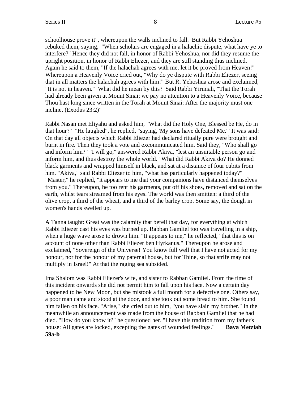schoolhouse prove it", whereupon the walls inclined to fall. But Rabbi Yehoshua rebuked them, saying, "When scholars are engaged in a halachic dispute, what have ye to interfere?" Hence they did not fall, in honor of Rabbi Yehoshua, nor did they resume the upright position, in honor of Rabbi Eliezer, and they are still standing thus inclined. Again he said to them, "If the halachah agrees with me, let it be proved from Heaven!" Whereupon a Heavenly Voice cried out, "Why do ye dispute with Rabbi Eliezer, seeing that in all matters the halachah agrees with him!" But R. Yehoshua arose and exclaimed, "It is not in heaven." What did he mean by this? Said Rabbi Yirmiah, "That the Torah had already been given at Mount Sinai; we pay no attention to a Heavenly Voice, because Thou hast long since written in the Torah at Mount Sinai: After the majority must one incline. (Exodus 23:2)"

Rabbi Nasan met Eliyahu and asked him, "What did the Holy One, Blessed be He, do in that hour?" "He laughed", he replied, "saying, 'My sons have defeated Me.'" It was said: On that day all objects which Rabbi Eliezer had declared ritually pure were brought and burnt in fire. Then they took a vote and excommunicated him. Said they, "Who shall go and inform him?" "I will go," answered Rabbi Akiva, "lest an unsuitable person go and inform him, and thus destroy the whole world." What did Rabbi Akiva do? He donned black garments and wrapped himself in black, and sat at a distance of four cubits from him. "Akiva," said Rabbi Eliezer to him, "what has particularly happened today?" "Master," he replied, "it appears to me that your companions have distanced themselves from you." Thereupon, he too rent his garments, put off his shoes, removed and sat on the earth, whilst tears streamed from his eyes. The world was then smitten: a third of the olive crop, a third of the wheat, and a third of the barley crop. Some say, the dough in women's hands swelled up.

A Tanna taught: Great was the calamity that befell that day, for everything at which Rabbi Eliezer cast his eyes was burned up. Rabban Gamliel too was travelling in a ship, when a huge wave arose to drown him. "It appears to me," he reflected, "that this is on account of none other than Rabbi Eliezer ben Hyrkanus." Thereupon he arose and exclaimed, "Sovereign of the Universe! You know full well that I have not acted for my honour, nor for the honour of my paternal house, but for Thine, so that strife may not multiply in Israel!" At that the raging sea subsided.

Ima Shalom was Rabbi Eliezer's wife, and sister to Rabban Gamliel. From the time of this incident onwards she did not permit him to fall upon his face. Now a certain day happened to be New Moon, but she mistook a full month for a defective one. Others say, a poor man came and stood at the door, and she took out some bread to him. She found him fallen on his face. "Arise," she cried out to him, "you have slain my brother." In the meanwhile an announcement was made from the house of Rabban Gamliel that he had died. "How do you know it?" he questioned her. "I have this tradition from my father's house: All gates are locked, excepting the gates of wounded feelings." **Bava Metziah 59a-b**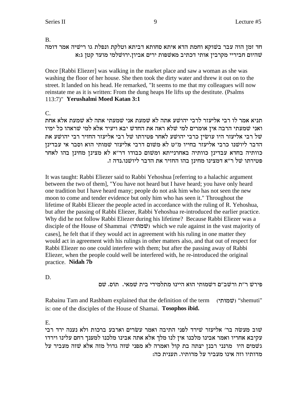**B.** 

## חד זמן הוה עבר בשׁוקא וחמת הדא איתא סחותא דביתא וטלקת ונפלת גו רישיה אמר דומה שהיום חביריי מקרבין אותי דכתיב מאשפות ירים אביון.ירוּשׁלמי מועד קטן ג:א

Once [Rabbi Eliezer] was walking in the market place and saw a woman as she was washing the floor of her house. She then took the dirty water and threw it out on to the street. It landed on his head. He remarked, "It seems to me that my colleagues will now reinstate me as it is written: From the dung heaps He lifts up the destitute. (Psalms 113:7)" Yerushalmi Moed Katan 3:1

 $C_{\cdot}$ 

תניא אמר לו רבי אליעזר לרבי יהושע אתה לא שמעת אני שמעתי אתה לא שמעת אלא אחת ואני שמעתי הרבה אין אומרים למי שלא ראה את החדש יבא ויעיד אלא למי שראהו כל ימיו של רבי אליעזר היו עושין כרבי יהושע לאחר פטירתו של רבי אליעזר החזיר רבי יהושע את הדבר ליושנו כרבי אליעזר בחייו מ"ט לא משום דרבי אליעזר שמותי הוא וסבר אי עבדינן כוותיה בחדא עבדינן כוותיה באחרנייתא ומשום כבודו דר"א לא מצינן מחינן בהו לאחר פטירתו של ר״א דמצינו מחינן בהו החזיר את הדבר ליושנו.נדה ז.

It was taught: Rabbi Eliezer said to Rabbi Yehoshua [referring to a halachic argument] between the two of them], "You have not heard but I have heard; you have only heard one tradition but I have heard many; people do not ask him who has not seen the new moon to come and tender evidence but only him who has seen it." Throughout the lifetime of Rabbi Eliezer the people acted in accordance with the ruling of R. Yehoshua, but after the passing of Rabbi Eliezer, Rabbi Yehoshua re-introduced the earlier practice. Why did he not follow Rabbi Eliezer during his lifetime? Because Rabbi Eliezer was a disciple of the House of Shammai (שׁמוּתי) which we rule against in the vast majority of cases], he felt that if they would act in agreement with his ruling in one matter they would act in agreement with his rulings in other matters also, and that out of respect for Rabbi Eliezer no one could interfere with them; but after the passing away of Rabbi Eliezer, when the people could well be interfered with, he re-introduced the original practice. Nidah 7b

D.

פירש ר״ת ורשב״ם דשמותי הוא היינו מתלמידי בית שמאי. תוֹס. שׁם

Rabainu Tam and Rashbam explained that the definition of the term (שמוּתי) "shemuti" is: one of the disciples of the House of Shamai. Tosophos ibid.

 $E_{\rm c}$ 

שוב מעשה בר׳ אליעזר שירד לפני התיבה ואמר עשרים וארבע ברכות ולא נענה ירד רבי עקיבא אחריו ואמר אבינו מלכנו אין לנו מלך אלא אתה אבינו מלכנו למענך רחם עלינו וירדו גשמים היו מרנני רבנן יצתה בת קול ואמרה לא מפני שזה גדול מזה אלא שזה מעביר על מדותיו וזה אינו מעביר על מדותיו. תענית כה: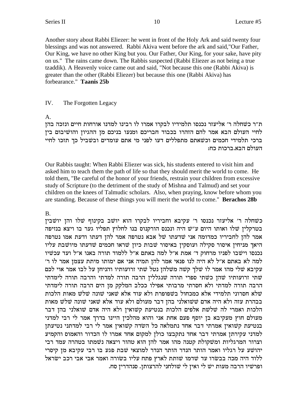Another story about Rabbi Eliezer: he went in front of the Holy Ark and said twenty four blessings and was not answered. Rabbi Akiva went before the ark and said,"Our Father, Our King, we have no other King but you. Our Father, Our King, for your sake, have pity on us." The rains came down. The Rabbis suspected (Rabbi Eliezer as not being a true tzaddik). A Heavenly voice came out and said, "Not because this one (Rabbi Akiva) is greater than the other (Rabbi Eliezer) but because this one (Rabbi Akiva) has forbearance." Taanis 25b

#### IV. The Forgotten Legacy

 $A<sub>1</sub>$ 

ת"ר כשחלה ר' אליעזר נכנסו תלמידיו לבקרו אמרו לו רבינו למדנו אורחות חיים ונזכה בהן לחיי העולם הבא אמר להם הזהרו בכבוד חבריכם ומנעו בניכם מן ההגיון והושיבום בין ברכי תלמידי חכמים וכשאתם מתפללים דעו לפני מי אתם עומדים ובשביל כך תזכו לחיי העולם הבא.ברכות כח:

Our Rabbis taught: When Rabbi Eliezer was sick, his students entered to visit him and asked him to teach them the path of life so that they should merit the world to come. He told them, "Be careful of the honor of your friends, restrain your children from excessive study of Scripture (to the detriment of the study of Mishna and Talmud) and set your children on the knees of Talmudic scholars. Also, when praying, know before whom you are standing. Because of these things you will merit the world to come." Berachos 28b

### **B.**

כשחלה ר' אליעזר נכנסו ר' עקיבא וחביריו לבקרו הוא יושב בקינוף שלו והן יושבין בטרקלין שלו ואותו היום ע"ש היה ונכנס הורקנוס בנו לחלוץ תפליו גער בו ויצא בנזיפה אמר להן לחביריו כמדומה אני שדעתו של אבא נטרפה אמר להן דעתו ודעת אמו נטרפה היאך מניחין איסור סקילה ועוסקין באיסור שבות כיון שראו חכמים שדעתו מיושבת עליו נכנסו וישבו לפניו מרחוק ד׳ אמת א״ל למה באתם א״ל ללמוד תורה באנו א״ל ועד עכשיו למה לא באתם א״ל לא היה לנו פנאי אמר להן תמיה אני אם ימותו מיתת עצמן אמר לו ר׳ עקיבא שלי מהו אמר לו שלך קשה משלהן נטל שתי זרועותיו והניחן על לבו אמר אוי לכם שתי זרועותיו שהן כשתי ספרי תורה שנגללין הרבה תורה למדתי והרבה תורה לימדתי הרבה תורה למדתי ולא חסרתי מרבותי אפילו ככלב המלקק מן הים הרבה תורה לימדתי שלא חסרוני תלמידי אלא כמכחול בשפופרת ולא עוד אלא שאני שונה שלש מאות הלכות בבהרת עזה ולא היה אדם ששואלני בהן דבר מעולם ולא עוד אלא שאני שונה שלש מאות הלכות ואמרי לה שלשת אלפים הלכות בנטיעת קשואין ולא היה אדם שואלני בהן דבר מעולם חוץ מעקיבא בן יוסף פעם אחת אני והוא מהלכין היינו בדרך אמר לי רבי למדני בנטיעת קשואין אמרתי דבר אחד נתמלאה כל השדה קשואין אמר לי רבי למדתני נטיעתן למדני עקירתן אמרתי דבר אחד נתקבצו כולן למקום אחד אמרו לו הכדור והאמוס והקמיע וצרור המרגליות ומשקולת קטנה מהו אמר להן הוא טהור ויצאה נשמתו בטהרה עמד רבי יהושע על רגליו ואמר הותר הנדר הותר הנדר למוצאי שבת פגע בו רבי עקיבא מן קיסרי ללוד היה מכה בבשרו עד שדמו שותת לארץ פתח עליו בשורה ואמר אבי אבי רכב ישראל ופרשיו הרבה מעות יש לי ואין לי שולחני להרצותן. סנהדרין סח.